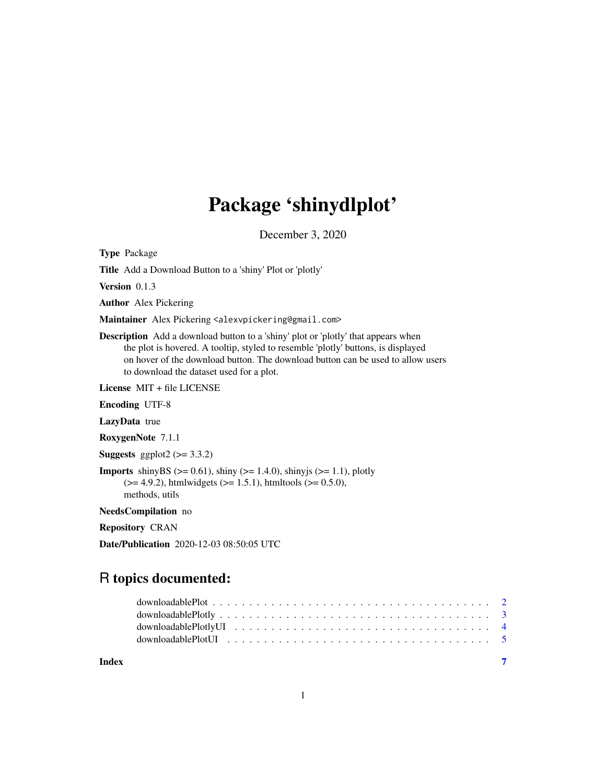# Package 'shinydlplot'

December 3, 2020

<span id="page-0-0"></span>Type Package

Title Add a Download Button to a 'shiny' Plot or 'plotly'

Version 0.1.3

Author Alex Pickering

Maintainer Alex Pickering <alexvpickering@gmail.com>

Description Add a download button to a 'shiny' plot or 'plotly' that appears when the plot is hovered. A tooltip, styled to resemble 'plotly' buttons, is displayed on hover of the download button. The download button can be used to allow users to download the dataset used for a plot.

License MIT + file LICENSE

Encoding UTF-8

LazyData true

RoxygenNote 7.1.1

Suggests ggplot $2 \left(>= 3.3.2\right)$ 

**Imports** shinyBS ( $>= 0.61$ ), shiny ( $>= 1.4.0$ ), shinyjs ( $>= 1.1$ ), plotly  $(>= 4.9.2)$ , htmlwidgets  $(>= 1.5.1)$ , htmltools  $(>= 0.5.0)$ , methods, utils

NeedsCompilation no

Repository CRAN

Date/Publication 2020-12-03 08:50:05 UTC

# R topics documented:

| Index | $\sim$ $\sim$ $\sim$ $\sim$ $\sim$ $\sim$ |  |
|-------|-------------------------------------------|--|
|       |                                           |  |
|       |                                           |  |
|       |                                           |  |
|       |                                           |  |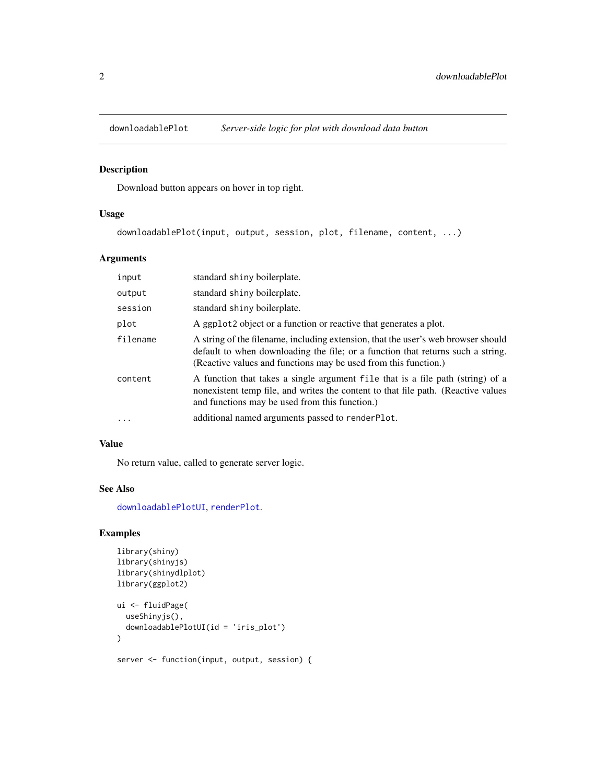<span id="page-1-1"></span><span id="page-1-0"></span>

#### Description

Download button appears on hover in top right.

#### Usage

downloadablePlot(input, output, session, plot, filename, content, ...)

#### Arguments

| input    | standard shiny boilerplate.                                                                                                                                                                                                             |
|----------|-----------------------------------------------------------------------------------------------------------------------------------------------------------------------------------------------------------------------------------------|
| output   | standard shiny boilerplate.                                                                                                                                                                                                             |
| session  | standard shiny boilerplate.                                                                                                                                                                                                             |
| plot     | A ggplot <sub>2</sub> object or a function or reactive that generates a plot.                                                                                                                                                           |
| filename | A string of the filename, including extension, that the user's web browser should<br>default to when downloading the file; or a function that returns such a string.<br>(Reactive values and functions may be used from this function.) |
| content  | A function that takes a single argument file that is a file path (string) of a<br>nonexistent temp file, and writes the content to that file path. (Reactive values<br>and functions may be used from this function.)                   |
| $\cdot$  | additional named arguments passed to render Plot.                                                                                                                                                                                       |

#### Value

No return value, called to generate server logic.

#### See Also

[downloadablePlotUI](#page-4-1), [renderPlot](#page-0-0).

#### Examples

```
library(shiny)
library(shinyjs)
library(shinydlplot)
library(ggplot2)
ui <- fluidPage(
  useShinyjs(),
  downloadablePlotUI(id = 'iris_plot')
\mathcal{L}server <- function(input, output, session) {
```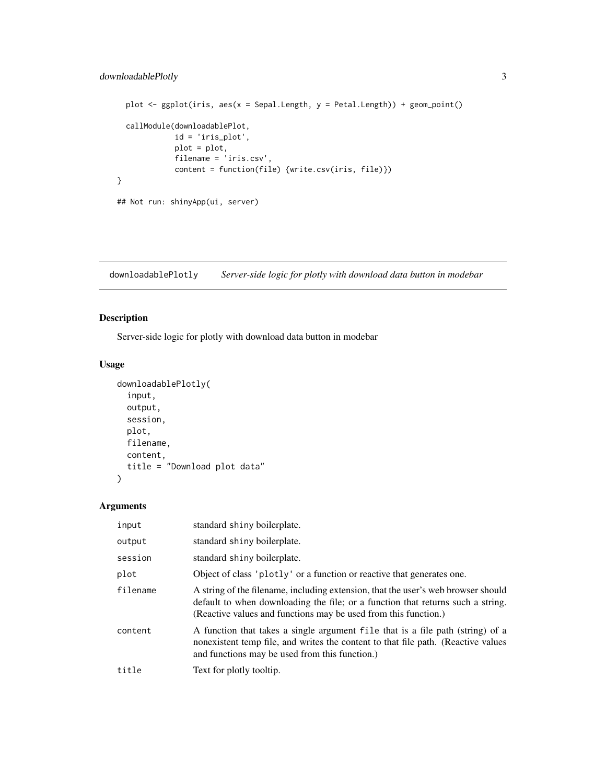```
plot \leq ggplot(iris, aes(x = Sepal.Length, y = Petal.Length)) + geom_point()
  callModule(downloadablePlot,
             id = 'iris_plot',
             plot = plot,
             filename = 'iris.csv',
             content = function(file) {write.csv(iris, file)})
}
## Not run: shinyApp(ui, server)
```
<span id="page-2-1"></span>downloadablePlotly *Server-side logic for plotly with download data button in modebar*

#### Description

Server-side logic for plotly with download data button in modebar

#### Usage

```
downloadablePlotly(
  input,
 output,
  session,
 plot,
 filename,
  content,
  title = "Download plot data"
)
```
#### Arguments

| input    | standard shiny boilerplate.                                                                                                                                                                                                             |
|----------|-----------------------------------------------------------------------------------------------------------------------------------------------------------------------------------------------------------------------------------------|
| output   | standard shiny boilerplate.                                                                                                                                                                                                             |
| session  | standard shiny boilerplate.                                                                                                                                                                                                             |
| plot     | Object of class 'plotly' or a function or reactive that generates one.                                                                                                                                                                  |
| filename | A string of the filename, including extension, that the user's web browser should<br>default to when downloading the file; or a function that returns such a string.<br>(Reactive values and functions may be used from this function.) |
| content  | A function that takes a single argument file that is a file path (string) of a<br>nonexistent temp file, and writes the content to that file path. (Reactive values<br>and functions may be used from this function.)                   |
| title    | Text for plotly tooltip.                                                                                                                                                                                                                |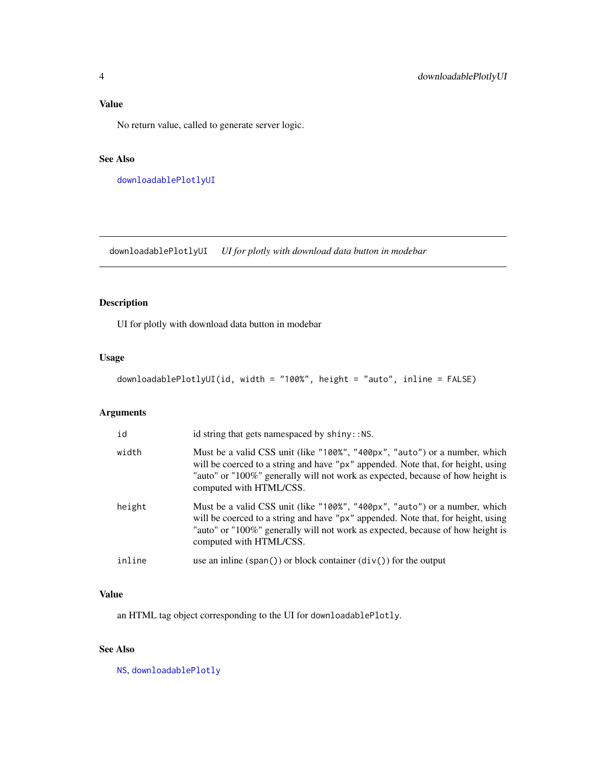# <span id="page-3-0"></span>Value

No return value, called to generate server logic.

# See Also

[downloadablePlotlyUI](#page-3-1)

<span id="page-3-1"></span>downloadablePlotlyUI *UI for plotly with download data button in modebar*

# Description

UI for plotly with download data button in modebar

#### Usage

downloadablePlotlyUI(id, width = "100%", height = "auto", inline = FALSE)

# Arguments

| id     | id string that gets namespaced by shiny:: NS.                                                                                                                                                                                                                               |
|--------|-----------------------------------------------------------------------------------------------------------------------------------------------------------------------------------------------------------------------------------------------------------------------------|
| width  | Must be a valid CSS unit (like "100%", "400px", "auto") or a number, which<br>will be coerced to a string and have "px" appended. Note that, for height, using<br>"auto" or "100%" generally will not work as expected, because of how height is<br>computed with HTML/CSS. |
| height | Must be a valid CSS unit (like "100%", "400px", "auto") or a number, which<br>will be coerced to a string and have "px" appended. Note that, for height, using<br>"auto" or "100%" generally will not work as expected, because of how height is<br>computed with HTML/CSS. |
| inline | use an inline $(\text{span}() )$ or block container $(\text{div}() )$ for the output                                                                                                                                                                                        |

#### Value

an HTML tag object corresponding to the UI for downloadablePlotly.

# See Also

[NS](#page-0-0), [downloadablePlotly](#page-2-1)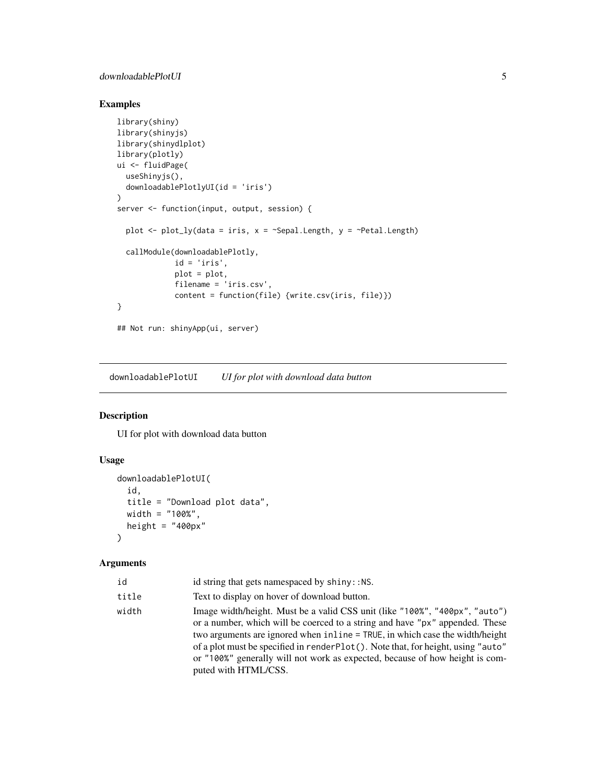#### <span id="page-4-0"></span>downloadablePlotUI 5

#### Examples

```
library(shiny)
library(shinyjs)
library(shinydlplot)
library(plotly)
ui <- fluidPage(
  useShinyjs(),
  downloadablePlotlyUI(id = 'iris')
\overline{)}server <- function(input, output, session) {
  plot \leq plot_ly(data = iris, x = \leqSepal.Length, y = \leqPetal.Length)
  callModule(downloadablePlotly,
             id = 'iris',
             plot = plot,
             filename = 'iris.csv',
             content = function(file) {write.csv(iris, file)})
}
## Not run: shinyApp(ui, server)
```
<span id="page-4-1"></span>downloadablePlotUI *UI for plot with download data button*

#### Description

UI for plot with download data button

#### Usage

```
downloadablePlotUI(
  id,
  title = "Download plot data",
  width = "100%",
  height = "400px"\mathcal{L}
```
#### Arguments

| id    | id string that gets namespaced by shiny:: NS.                                                                                                                                                                                                                                                                                                                                                                                            |
|-------|------------------------------------------------------------------------------------------------------------------------------------------------------------------------------------------------------------------------------------------------------------------------------------------------------------------------------------------------------------------------------------------------------------------------------------------|
| title | Text to display on hover of download button.                                                                                                                                                                                                                                                                                                                                                                                             |
| width | Image width/height. Must be a valid CSS unit (like "100%", "400px", "auto")<br>or a number, which will be coerced to a string and have "px" appended. These<br>two arguments are ignored when inline = TRUE, in which case the width/height<br>of a plot must be specified in render Plot(). Note that, for height, using "auto"<br>or "100%" generally will not work as expected, because of how height is com-<br>puted with HTML/CSS. |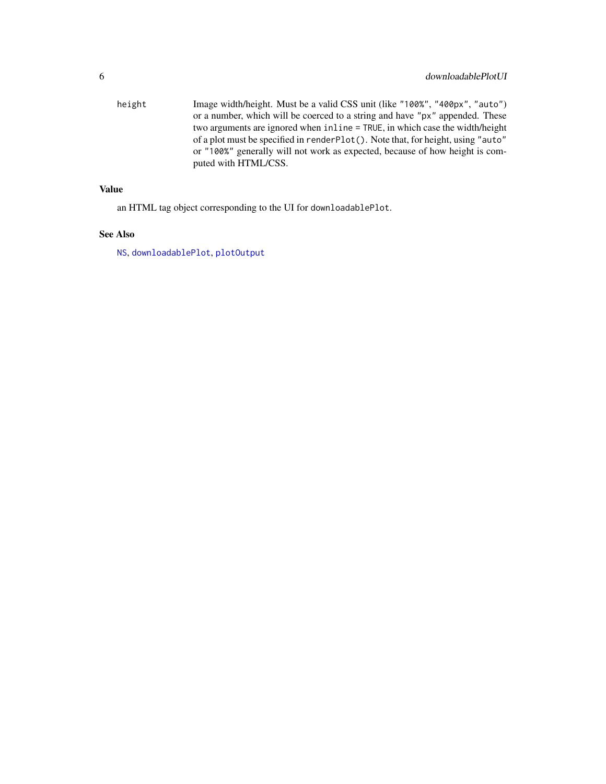<span id="page-5-0"></span>height Image width/height. Must be a valid CSS unit (like "100%", "400px", "auto") or a number, which will be coerced to a string and have "px" appended. These two arguments are ignored when inline = TRUE, in which case the width/height of a plot must be specified in renderPlot(). Note that, for height, using "auto" or "100%" generally will not work as expected, because of how height is computed with HTML/CSS.

#### Value

an HTML tag object corresponding to the UI for downloadablePlot.

# See Also

[NS](#page-0-0), [downloadablePlot](#page-1-1), [plotOutput](#page-0-0)